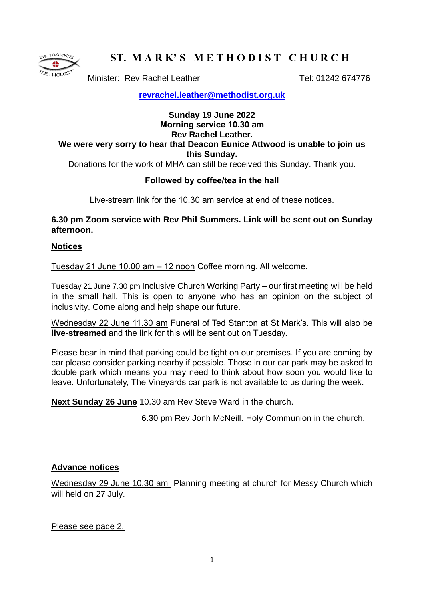

# **ST. M A R K' S M E T H O D I S T C H U R C H**

Minister: Rev Rachel Leather Tel: 01242 674776

**[revrachel.leather@methodist.org.uk](mailto:revrachel.leather@methodist.org.uk)**

# **Sunday 19 June 2022 Morning service 10.30 am Rev Rachel Leather. We were very sorry to hear that Deacon Eunice Attwood is unable to join us this Sunday.**

Donations for the work of MHA can still be received this Sunday. Thank you.

# **Followed by coffee/tea in the hall**

Live-stream link for the 10.30 am service at end of these notices.

## **6.30 pm Zoom service with Rev Phil Summers. Link will be sent out on Sunday afternoon.**

### **Notices**

Tuesday 21 June 10.00 am – 12 noon Coffee morning. All welcome.

Tuesday 21 June 7.30 pm Inclusive Church Working Party – our first meeting will be held in the small hall. This is open to anyone who has an opinion on the subject of inclusivity. Come along and help shape our future.

Wednesday 22 June 11.30 am Funeral of Ted Stanton at St Mark's. This will also be **live-streamed** and the link for this will be sent out on Tuesday.

Please bear in mind that parking could be tight on our premises. If you are coming by car please consider parking nearby if possible. Those in our car park may be asked to double park which means you may need to think about how soon you would like to leave. Unfortunately, The Vineyards car park is not available to us during the week.

**Next Sunday 26 June** 10.30 am Rev Steve Ward in the church.

6.30 pm Rev Jonh McNeill. Holy Communion in the church.

### **Advance notices**

Wednesday 29 June 10.30 am Planning meeting at church for Messy Church which will held on 27 July.

Please see page 2.